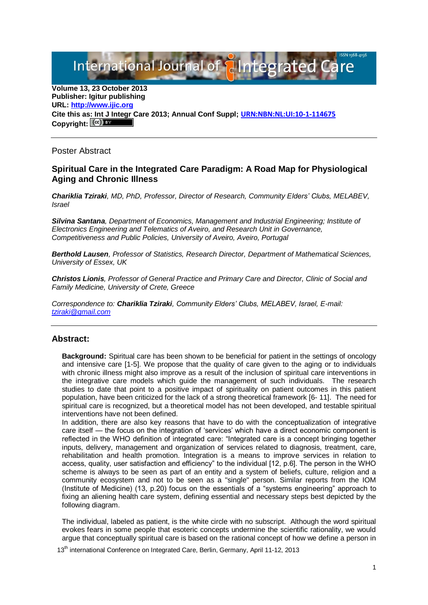International Journal of **Plntegrated** 

**Volume 13, 23 October 2013 Publisher: Igitur publishing URL[: http://www.ijic.org](http://www.ijic.org/) Cite this as: Int J Integr Care 2013; Annual Conf Suppl; [URN:NBN:NL:UI:10-1-114675](http://persistent-identifier.nl/?identifier=URN:NBN:NL:UI:10-1-114675)** Copyright:  $(cc)$ 

Poster Abstract

## **Spiritual Care in the Integrated Care Paradigm: A Road Map for Physiological Aging and Chronic Illness**

*Chariklia Tziraki, MD, PhD, Professor, Director of Research, Community Elders' Clubs, MELABEV, Israel*

*Silvina Santana, Department of Economics, Management and Industrial Engineering; Institute of Electronics Engineering and Telematics of Aveiro, and Research Unit in Governance, Competitiveness and Public Policies, University of Aveiro, Aveiro, Portugal*

*Berthold Lausen, Professor of Statistics, Research Director, Department of Mathematical Sciences, University of Essex, UK*

*Christos Lionis, Professor of General Practice and Primary Care and Director, Clinic of Social and Family Medicine, University of Crete, Greece*

*Correspondence to: Chariklia Tziraki, Community Elders' Clubs, MELABEV, Israel, E-mail: [tziraki@gmail.com](mailto:tziraki@gmail.com)*

## **Abstract:**

**Background:** Spiritual care has been shown to be beneficial for patient in the settings of oncology and intensive care [1-5]. We propose that the quality of care given to the aging or to individuals with chronic illness might also improve as a result of the inclusion of spiritual care interventions in the integrative care models which guide the management of such individuals. The research studies to date that point to a positive impact of spirituality on patient outcomes in this patient population, have been criticized for the lack of a strong theoretical framework [6- 11]. The need for spiritual care is recognized, but a theoretical model has not been developed, and testable spiritual interventions have not been defined.

In addition, there are also key reasons that have to do with the conceptualization of integrative care itself — the focus on the integration of 'services' which have a direct economic component is reflected in the WHO definition of integrated care: "Integrated care is a concept bringing together inputs, delivery, management and organization of services related to diagnosis, treatment, care, rehabilitation and health promotion. Integration is a means to improve services in relation to access, quality, user satisfaction and efficiency" to the individual [12, p.6]. The person in the WHO scheme is always to be seen as part of an entity and a system of beliefs, culture, religion and a community ecosystem and not to be seen as a "single" person. Similar reports from the IOM (Institute of Medicine) (13, p.20) focus on the essentials of a "systems engineering" approach to fixing an aliening health care system, defining essential and necessary steps best depicted by the following diagram.

The individual, labeled as patient, is the white circle with no subscript. Although the word spiritual evokes fears in some people that esoteric concepts undermine the scientific rationality, we would argue that conceptually spiritual care is based on the rational concept of how we define a person in

13<sup>th</sup> international Conference on Integrated Care, Berlin, Germany, April 11-12, 2013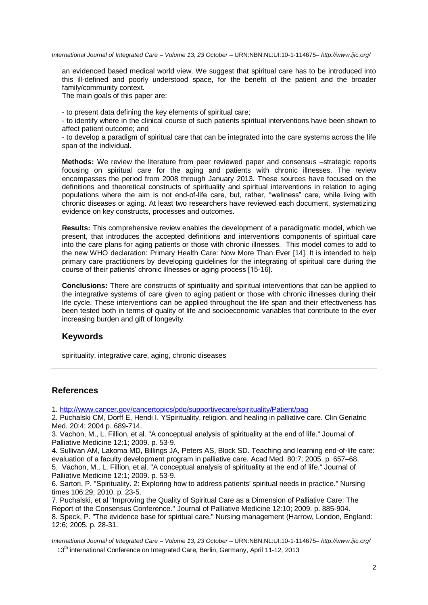*International Journal of Integrated Care – Volume 13, 23 October –* URN:NBN:NL:UI:10-1-114675*– http://www.ijic.org/*

an evidenced based medical world view. We suggest that spiritual care has to be introduced into this ill-defined and poorly understood space, for the benefit of the patient and the broader family/community context.

The main goals of this paper are:

- to present data defining the key elements of spiritual care;

- to identify where in the clinical course of such patients spiritual interventions have been shown to affect patient outcome; and

- to develop a paradigm of spiritual care that can be integrated into the care systems across the life span of the individual.

**Methods:** We review the literature from peer reviewed paper and consensus –strategic reports focusing on spiritual care for the aging and patients with chronic illnesses. The review encompasses the period from 2008 through January 2013. These sources have focused on the definitions and theoretical constructs of spirituality and spiritual interventions in relation to aging populations where the aim is not end-of-life care, but, rather, "wellness" care, while living with chronic diseases or aging. At least two researchers have reviewed each document, systematizing evidence on key constructs, processes and outcomes.

**Results:** This comprehensive review enables the development of a paradigmatic model, which we present, that introduces the accepted definitions and interventions components of spiritual care into the care plans for aging patients or those with chronic illnesses. This model comes to add to the new WHO declaration: Primary Health Care: Now More Than Ever [14]. It is intended to help primary care practitioners by developing guidelines for the integrating of spiritual care during the course of their patients' chronic illnesses or aging process [15-16].

**Conclusions:** There are constructs of spirituality and spiritual interventions that can be applied to the integrative systems of care given to aging patient or those with chronic illnesses during their life cycle. These interventions can be applied throughout the life span and their effectiveness has been tested both in terms of quality of life and socioeconomic variables that contribute to the ever increasing burden and gift of longevity.

## **Keywords**

spirituality, integrative care, aging, chronic diseases

## **References**

1.<http://www.cancer.gov/cancertopics/pdq/supportivecare/spirituality/Patient/pag>

2. Puchalski CM, Dorff E, Hendi I. YSpirituality, religion, and healing in palliative care. Clin Geriatric Med. 20:4; 2004 p. 689-714.

3. Vachon, M., L. Fillion, et al. "A conceptual analysis of spirituality at the end of life." Journal of Palliative Medicine 12:1; 2009. p. 53-9.

4. Sullivan AM, Lakoma MD, Billings JA, Peters AS, Block SD. Teaching and learning end-of-life care: evaluation of a faculty development program in palliative care. Acad Med. 80:7; 2005. p. 657–68. 5. Vachon, M., L. Fillion, et al. "A conceptual analysis of spirituality at the end of life." Journal of Palliative Medicine 12:1; 2009. p. 53-9.

6. Sartori, P. "Spirituality. 2: Exploring how to address patients' spiritual needs in practice." Nursing times 106:29; 2010. p. 23-5.

7. Puchalski, et al "Improving the Quality of Spiritual Care as a Dimension of Palliative Care: The Report of the Consensus Conference." Journal of Palliative Medicine 12:10; 2009. p. 885-904. 8. Speck, P. "The evidence base for spiritual care." Nursing management (Harrow, London, England: 12:6; 2005. p. 28-31.

13<sup>th</sup> international Conference on Integrated Care, Berlin, Germany, April 11-12, 2013 *International Journal of Integrated Care – Volume 13, 23 October –* URN:NBN:NL:UI:10-1-114675*– http://www.ijic.org/*